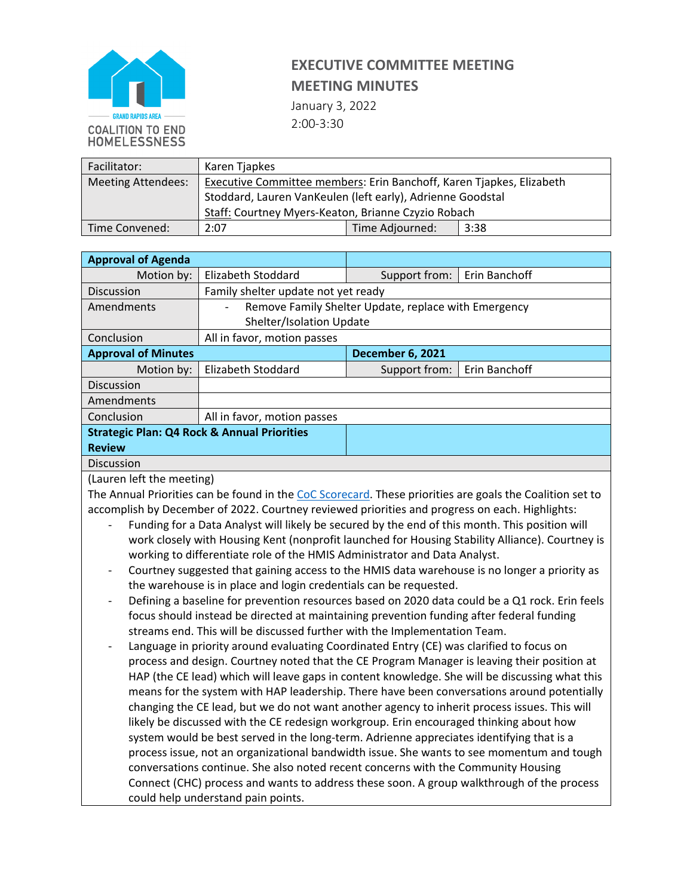

## **EXECUTIVE COMMITTEE MEETING MEETING MINUTES**

January 3, 2022

2:00-3:30

| Facilitator:              | Karen Tjapkes                                                        |                 |      |
|---------------------------|----------------------------------------------------------------------|-----------------|------|
| <b>Meeting Attendees:</b> | Executive Committee members: Erin Banchoff, Karen Tjapkes, Elizabeth |                 |      |
|                           | Stoddard, Lauren VanKeulen (left early), Adrienne Goodstal           |                 |      |
|                           | Staff: Courtney Myers-Keaton, Brianne Czyzio Robach                  |                 |      |
| Time Convened:            | 2:07                                                                 | Time Adjourned: | 3:38 |

| <b>Approval of Agenda</b>                              |                                                                                  |                         |               |  |
|--------------------------------------------------------|----------------------------------------------------------------------------------|-------------------------|---------------|--|
| Motion by:                                             | Elizabeth Stoddard                                                               | Support from:           | Erin Banchoff |  |
| Discussion                                             | Family shelter update not yet ready                                              |                         |               |  |
| Amendments                                             | Remove Family Shelter Update, replace with Emergency<br>$\overline{\phantom{a}}$ |                         |               |  |
|                                                        | <b>Shelter/Isolation Update</b>                                                  |                         |               |  |
| Conclusion                                             | All in favor, motion passes                                                      |                         |               |  |
| <b>Approval of Minutes</b>                             |                                                                                  | <b>December 6, 2021</b> |               |  |
| Motion by:                                             | Elizabeth Stoddard                                                               | Support from:           | Erin Banchoff |  |
| <b>Discussion</b>                                      |                                                                                  |                         |               |  |
| Amendments                                             |                                                                                  |                         |               |  |
| Conclusion                                             | All in favor, motion passes                                                      |                         |               |  |
| <b>Strategic Plan: Q4 Rock &amp; Annual Priorities</b> |                                                                                  |                         |               |  |
| <b>Review</b>                                          |                                                                                  |                         |               |  |
| <b>Discussion</b>                                      |                                                                                  |                         |               |  |

(Lauren left the meeting)

The Annual Priorities can be found in the [CoC Scorecard.](https://docs.google.com/spreadsheets/d/1hJWvK8WEHiAxpScdJ29TRqeCw5JA_40V66euvHbqMWQ/edit?usp=sharing) These priorities are goals the Coalition set to accomplish by December of 2022. Courtney reviewed priorities and progress on each. Highlights:

- Funding for a Data Analyst will likely be secured by the end of this month. This position will work closely with Housing Kent (nonprofit launched for Housing Stability Alliance). Courtney is working to differentiate role of the HMIS Administrator and Data Analyst.
- Courtney suggested that gaining access to the HMIS data warehouse is no longer a priority as the warehouse is in place and login credentials can be requested.
- Defining a baseline for prevention resources based on 2020 data could be a Q1 rock. Erin feels focus should instead be directed at maintaining prevention funding after federal funding streams end. This will be discussed further with the Implementation Team.
- Language in priority around evaluating Coordinated Entry (CE) was clarified to focus on process and design. Courtney noted that the CE Program Manager is leaving their position at HAP (the CE lead) which will leave gaps in content knowledge. She will be discussing what this means for the system with HAP leadership. There have been conversations around potentially changing the CE lead, but we do not want another agency to inherit process issues. This will likely be discussed with the CE redesign workgroup. Erin encouraged thinking about how system would be best served in the long-term. Adrienne appreciates identifying that is a process issue, not an organizational bandwidth issue. She wants to see momentum and tough conversations continue. She also noted recent concerns with the Community Housing Connect (CHC) process and wants to address these soon. A group walkthrough of the process could help understand pain points.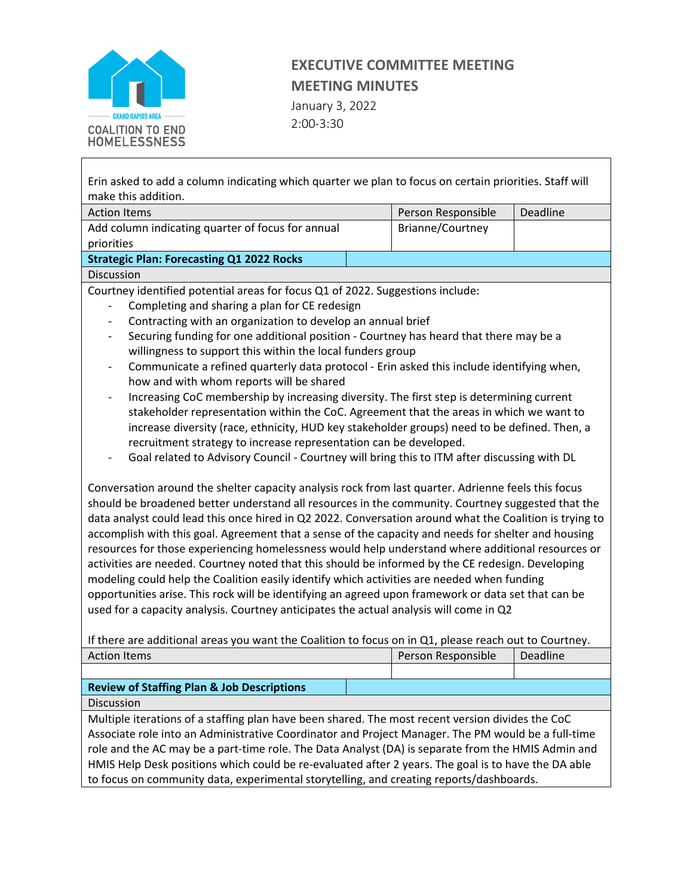

## **EXECUTIVE COMMITTEE MEETING MEETING MINUTES**

January 3, 2022 2:00-3:30

Erin asked to add a column indicating which quarter we plan to focus on certain priorities. Staff will make this addition.

| <b>Action Items</b>                               | Person Responsible | Deadline |
|---------------------------------------------------|--------------------|----------|
| Add column indicating quarter of focus for annual | Brianne/Courtney   |          |
| priorities                                        |                    |          |
| <b>Strategic Plan: Forecasting Q1 2022 Rocks</b>  |                    |          |
| <b>Discussion</b>                                 |                    |          |

Courtney identified potential areas for focus Q1 of 2022. Suggestions include:

- Completing and sharing a plan for CE redesign
- Contracting with an organization to develop an annual brief
- Securing funding for one additional position Courtney has heard that there may be a willingness to support this within the local funders group
- Communicate a refined quarterly data protocol Erin asked this include identifying when, how and with whom reports will be shared
- Increasing CoC membership by increasing diversity. The first step is determining current stakeholder representation within the CoC. Agreement that the areas in which we want to increase diversity (race, ethnicity, HUD key stakeholder groups) need to be defined. Then, a recruitment strategy to increase representation can be developed.
- Goal related to Advisory Council Courtney will bring this to ITM after discussing with DL

Conversation around the shelter capacity analysis rock from last quarter. Adrienne feels this focus should be broadened better understand all resources in the community. Courtney suggested that the data analyst could lead this once hired in Q2 2022. Conversation around what the Coalition is trying to accomplish with this goal. Agreement that a sense of the capacity and needs for shelter and housing resources for those experiencing homelessness would help understand where additional resources or activities are needed. Courtney noted that this should be informed by the CE redesign. Developing modeling could help the Coalition easily identify which activities are needed when funding opportunities arise. This rock will be identifying an agreed upon framework or data set that can be used for a capacity analysis. Courtney anticipates the actual analysis will come in Q2

If there are additional areas you want the Coalition to focus on in Q1, please reach out to Courtney.

| <b>Action Items</b>                                   | Person Responsible | Deadline |
|-------------------------------------------------------|--------------------|----------|
|                                                       |                    |          |
| <b>Review of Staffing Plan &amp; Job Descriptions</b> |                    |          |
| <b>Discussion</b>                                     |                    |          |
|                                                       |                    |          |

Multiple iterations of a staffing plan have been shared. The most recent version divides the CoC Associate role into an Administrative Coordinator and Project Manager. The PM would be a full-time role and the AC may be a part-time role. The Data Analyst (DA) is separate from the HMIS Admin and HMIS Help Desk positions which could be re-evaluated after 2 years. The goal is to have the DA able to focus on community data, experimental storytelling, and creating reports/dashboards.